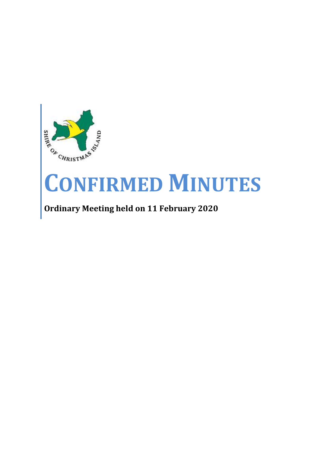

# **CONFIRMED MINUTES**

# **Ordinary Meeting held on 11 February 2020**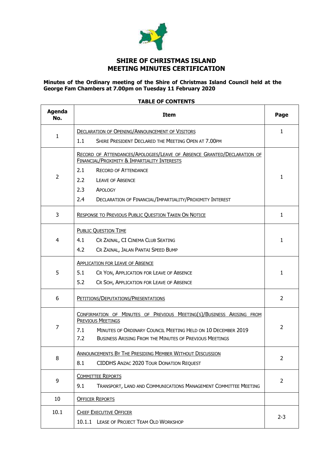

# **SHIRE OF CHRISTMAS ISLAND MEETING MINUTES CERTIFICATION**

# **Minutes of the Ordinary meeting of the Shire of Christmas Island Council held at the George Fam Chambers at 7.00pm on Tuesday 11 February 2020**

# **TABLE OF CONTENTS**

 $\mathbf{r}$ 

| <b>Agenda</b><br>No. | <b>Item</b>                                                                                                             |                |  |  |  |  |  |
|----------------------|-------------------------------------------------------------------------------------------------------------------------|----------------|--|--|--|--|--|
|                      | <b>DECLARATION OF OPENING/ANNOUNCEMENT OF VISITORS</b>                                                                  | $\mathbf{1}$   |  |  |  |  |  |
| 1                    | SHIRE PRESIDENT DECLARED THE MEETING OPEN AT 7.00PM<br>1.1                                                              |                |  |  |  |  |  |
|                      | RECORD OF ATTENDANCES/APOLOGIES/LEAVE OF ABSENCE GRANTED/DECLARATION OF<br>FINANCIAL/PROXIMITY & IMPARTIALITY INTERESTS |                |  |  |  |  |  |
|                      | <b>RECORD OF ATTENDANCE</b><br>2.1                                                                                      |                |  |  |  |  |  |
| $\overline{2}$       | 2.2<br><b>LEAVE OF ABSENCE</b>                                                                                          | 1              |  |  |  |  |  |
|                      | 2.3<br>APOLOGY                                                                                                          |                |  |  |  |  |  |
|                      | 2.4<br>DECLARATION OF FINANCIAL/IMPARTIALITY/PROXIMITY INTEREST                                                         |                |  |  |  |  |  |
| 3                    | <b>RESPONSE TO PREVIOUS PUBLIC QUESTION TAKEN ON NOTICE</b>                                                             | $\mathbf{1}$   |  |  |  |  |  |
|                      | <b>PUBLIC QUESTION TIME</b>                                                                                             |                |  |  |  |  |  |
| 4                    | 4.1<br>CR ZAINAL, CI CINEMA CLUB SEATING                                                                                | 1              |  |  |  |  |  |
|                      | 4.2<br>CR ZAINAL, JALAN PANTAI SPEED BUMP                                                                               |                |  |  |  |  |  |
|                      | <b>APPLICATION FOR LEAVE OF ABSENCE</b>                                                                                 |                |  |  |  |  |  |
| 5                    | 5.1<br>CR YON, APPLICATION FOR LEAVE OF ABSENCE                                                                         | 1              |  |  |  |  |  |
|                      | 5.2<br>CR SOH, APPLICATION FOR LEAVE OF ABSENCE                                                                         |                |  |  |  |  |  |
| 6                    | PETITIONS/DEPUTATIONS/PRESENTATIONS                                                                                     | $\overline{2}$ |  |  |  |  |  |
|                      | CONFIRMATION OF MINUTES OF PREVIOUS MEETING(S)/BUSINESS ARISING FROM<br><b>PREVIOUS MEETINGS</b>                        |                |  |  |  |  |  |
| 7                    | 7.1<br>MINUTES OF ORDINARY COUNCIL MEETING HELD ON 10 DECEMBER 2019                                                     | $\overline{2}$ |  |  |  |  |  |
|                      | 7.2<br><b>BUSINESS ARISING FROM THE MINUTES OF PREVIOUS MEETINGS</b>                                                    |                |  |  |  |  |  |
| 8                    | <b>ANNOUNCEMENTS BY THE PRESIDING MEMBER WITHOUT DISCUSSION</b>                                                         | $\overline{2}$ |  |  |  |  |  |
|                      | 8.1<br><b>CIDDHS ANZAC 2020 TOUR DONATION REQUEST</b>                                                                   |                |  |  |  |  |  |
| 9                    | <b>COMMITTEE REPORTS</b>                                                                                                | 2              |  |  |  |  |  |
|                      | 9.1<br>TRANSPORT, LAND AND COMMUNICATIONS MANAGEMENT COMMITTEE MEETING                                                  |                |  |  |  |  |  |
| 10                   | <b>OFFICER REPORTS</b>                                                                                                  |                |  |  |  |  |  |
| 10.1                 | <b>CHIEF EXECUTIVE OFFICER</b>                                                                                          |                |  |  |  |  |  |
|                      | 10.1.1 LEASE OF PROJECT TEAM OLD WORKSHOP                                                                               | $2 - 3$        |  |  |  |  |  |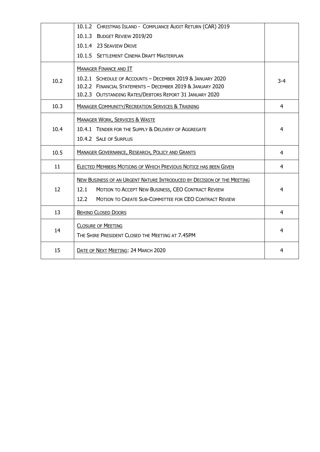|      | 10.1.2 CHRISTMAS ISLAND - COMPLIANCE AUDIT RETURN (CAR) 2019           |       |
|------|------------------------------------------------------------------------|-------|
|      | 10.1.3 BUDGET REVIEW 2019/20                                           |       |
|      | 10.1.4 23 SEAVIEW DRIVE                                                |       |
|      | 10.1.5 SETTLEMENT CINEMA DRAFT MASTERPLAN                              |       |
|      | <b>MANAGER FINANCE AND IT</b>                                          |       |
| 10.2 | 10.2.1 SCHEDULE OF ACCOUNTS - DECEMBER 2019 & JANUARY 2020             | $3-4$ |
|      | 10.2.2 FINANCIAL STATEMENTS - DECEMBER 2019 & JANUARY 2020             |       |
|      | 10.2.3 OUTSTANDING RATES/DEBTORS REPORT 31 JANUARY 2020                |       |
| 10.3 | <b>MANAGER COMMUNITY/RECREATION SERVICES &amp; TRAINING</b>            | 4     |
|      | <b>MANAGER WORK, SERVICES &amp; WASTE</b>                              |       |
| 10.4 | 10.4.1 TENDER FOR THE SUPPLY & DELIVERY OF AGGREGATE                   | 4     |
|      | 10.4.2 SALE OF SURPLUS                                                 |       |
| 10.5 | MANAGER GOVERNANCE, RESEARCH, POLICY AND GRANTS                        | 4     |
| 11   | ELECTED MEMBERS MOTIONS OF WHICH PREVIOUS NOTICE HAS BEEN GIVEN        | 4     |
|      | NEW BUSINESS OF AN URGENT NATURE INTRODUCED BY DECISION OF THE MEETING |       |
| 12   | 12.1<br>MOTION TO ACCEPT NEW BUSINESS, CEO CONTRACT REVIEW             | 4     |
|      | 12.2<br>MOTION TO CREATE SUB-COMMITTEE FOR CEO CONTRACT REVIEW         |       |
| 13   | <b>BEHIND CLOSED DOORS</b>                                             | 4     |
|      | <b>CLOSURE OF MEETING</b>                                              | 4     |
| 14   | THE SHIRE PRESIDENT CLOSED THE MEETING AT 7.45PM                       |       |
| 15   | DATE OF NEXT MEETING: 24 MARCH 2020                                    | 4     |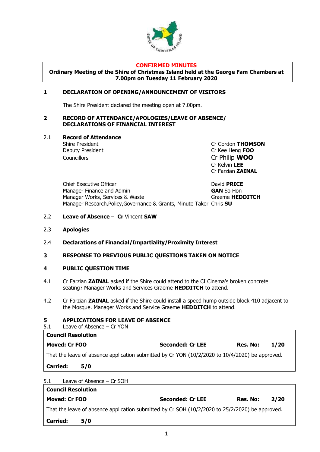

#### **CONFIRMED MINUTES**

**Ordinary Meeting of the Shire of Christmas Island held at the George Fam Chambers at 7.00pm on Tuesday 11 February 2020**

# **1 DECLARATION OF OPENING/ANNOUNCEMENT OF VISITORS**

The Shire President declared the meeting open at 7.00pm.

# **2 RECORD OF ATTENDANCE/APOLOGIES/LEAVE OF ABSENCE/ DECLARATIONS OF FINANCIAL INTEREST**

#### 2.1 **Record of Attendance**

Deputy President Cr Kee Heng **FOO** Councillors Cr Philip **WOO**

Shire President **Cr Gordon THOMSON** Cr Kelvin **LEE** Cr Farzian **ZAINAL**

Chief Executive Officer David **PRICE** Manager Finance and Admin **GAN** So Hon Manager Works, Services & Waste **Graeme HEDDITCH** Manager Research,Policy,Governance & Grants, Minute Taker Chris **SU**

# 2.2 **Leave of Absence** – **Cr** Vincent **SAW**

- 2.3 **Apologies**
- 2.4 **Declarations of Financial/Impartiality/Proximity Interest**

# **3 RESPONSE TO PREVIOUS PUBLIC QUESTIONS TAKEN ON NOTICE**

# **4 PUBLIC QUESTION TIME**

- 4.1 Cr Farzian **ZAINAL** asked if the Shire could attend to the CI Cinema's broken concrete seating? Manager Works and Services Graeme **HEDDITCH** to attend.
- 4.2 Cr Farzian **ZAINAL** asked if the Shire could install a speed hump outside block 410 adjacent to the Mosque. Manager Works and Service Graeme **HEDDITCH** to attend.

# **5 APPLICATIONS FOR LEAVE OF ABSENCE**

5.1 Leave of Absence – Cr YON

| <b>Council Resolution</b> |                                                                                                     |                         |          |             |
|---------------------------|-----------------------------------------------------------------------------------------------------|-------------------------|----------|-------------|
| Moved: Cr FOO             |                                                                                                     | <b>Seconded: Cr LEE</b> | Res. No: | <b>1/20</b> |
|                           | That the leave of absence application submitted by Cr YON $(10/2/2020$ to $10/4/2020)$ be approved. |                         |          |             |
| <b>Carried:</b>           | 5/0                                                                                                 |                         |          |             |
|                           |                                                                                                     |                         |          |             |

# 5.1 Leave of Absence – Cr SOH

| <b>Council Resolution</b>                                                                       |     |                         |          |      |  |  |
|-------------------------------------------------------------------------------------------------|-----|-------------------------|----------|------|--|--|
| Moved: Cr FOO                                                                                   |     | <b>Seconded: Cr LEE</b> | Res. No: | 2/20 |  |  |
| That the leave of absence application submitted by Cr SOH (10/2/2020 to 25/2/2020) be approved. |     |                         |          |      |  |  |
| <b>Carried:</b>                                                                                 | 5/0 |                         |          |      |  |  |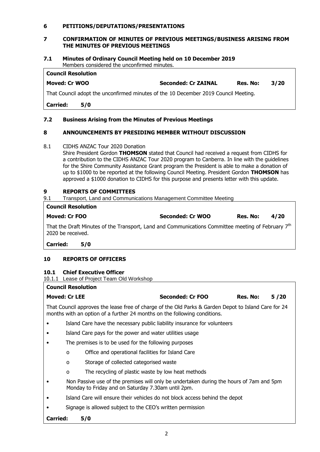# **6 PETITIONS/DEPUTATIONS/PRESENTATIONS**

# **7 CONFIRMATION OF MINUTES OF PREVIOUS MEETINGS/BUSINESS ARISING FROM THE MINUTES OF PREVIOUS MEETINGS**

#### **7.1 Minutes of Ordinary Council Meeting held on 10 December 2019** Members considered the unconfirmed minutes.

| <b>Council Resolution</b>                                                                                       |                            |          |      |  |
|-----------------------------------------------------------------------------------------------------------------|----------------------------|----------|------|--|
| Moved: Cr WOO                                                                                                   | <b>Seconded: Cr ZAINAL</b> | Res. No: | 3/20 |  |
| . That $O$ consider that the consequence of polymera set the set $O$ . Descended 2010, $O$ consider $M$ setting |                            |          |      |  |

That Council adopt the unconfirmed minutes of the 10 December 2019 Council Meeting.

**Carried: 5/0**

# **7.2 Business Arising from the Minutes of Previous Meetings**

# **8 ANNOUNCEMENTS BY PRESIDING MEMBER WITHOUT DISCUSSION**

8.1 CIDHS ANZAC Tour 2020 Donation

Shire President Gordon **THOMSON** stated that Council had received a request from CIDHS for a contribution to the CIDHS ANZAC Tour 2020 program to Canberra. In line with the guidelines for the Shire Community Assistance Grant program the President is able to make a donation of up to \$1000 to be reported at the following Council Meeting. President Gordon **THOMSON** has approved a \$1000 donation to CIDHS for this purpose and presents letter with this update.

# **9 REPORTS OF COMMITTEES**

9.1 Transport, Land and Communications Management Committee Meeting

#### **Council Resolution**

| Moved: Cr FOO |  |  |  | <b>Seconded: Cr WOO</b> |  |  | Res. No: | 4/20 |  |
|---------------|--|--|--|-------------------------|--|--|----------|------|--|
|               |  |  |  |                         |  |  |          |      |  |

That the Draft Minutes of the Transport, Land and Communications Committee meeting of February 7<sup>th</sup> 2020 be received.

**Carried: 5/0**

# **10 REPORTS OF OFFICERS**

# **10.1 Chief Executive Officer**

10.1.1 Lease of Project Team Old Workshop

# **Council Resolution**

| <b>Moved: Cr LEE</b> | Seconded: Cr FOO | Res. No: | 5/20 |
|----------------------|------------------|----------|------|
|                      |                  |          |      |

That Council approves the lease free of charge of the Old Parks & Garden Depot to Island Care for 24 months with an option of a further 24 months on the following conditions.

- Island Care have the necessary public liability insurance for volunteers
- Island Care pays for the power and water utilities usage
- The premises is to be used for the following purposes
	- o Office and operational facilities for Island Care
	- o Storage of collected categorised waste
	- o The recycling of plastic waste by low heat methods
- Non Passive use of the premises will only be undertaken during the hours of 7am and 5pm Monday to Friday and on Saturday 7.30am until 2pm.
- Island Care will ensure their vehicles do not block access behind the depot
- Signage is allowed subject to the CEO's written permission

**Carried: 5/0**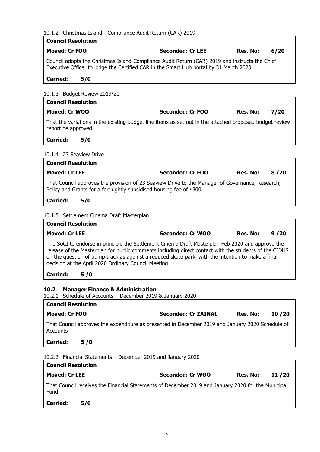# 10.1.2 Christmas Island - Compliance Audit Return (CAR) 2019

| <b>Council Resolution</b>                                                                                         |                                                                                                                                                                                                                                                                                                                |                   |
|-------------------------------------------------------------------------------------------------------------------|----------------------------------------------------------------------------------------------------------------------------------------------------------------------------------------------------------------------------------------------------------------------------------------------------------------|-------------------|
| <b>Moved: Cr FOO</b>                                                                                              | <b>Seconded: Cr LEE</b>                                                                                                                                                                                                                                                                                        | Res. No:<br>6/20  |
|                                                                                                                   | Council adopts the Christmas Island-Compliance Audit Return (CAR) 2019 and instructs the Chief<br>Executive Officer to lodge the Certified CAR in the Smart Hub portal by 31 March 2020.                                                                                                                       |                   |
| <b>Carried:</b><br>5/0                                                                                            |                                                                                                                                                                                                                                                                                                                |                   |
| 10.1.3 Budget Review 2019/20                                                                                      |                                                                                                                                                                                                                                                                                                                |                   |
| <b>Council Resolution</b>                                                                                         |                                                                                                                                                                                                                                                                                                                |                   |
| <b>Moved: Cr WOO</b>                                                                                              | <b>Seconded: Cr FOO</b>                                                                                                                                                                                                                                                                                        | Res. No:<br>7/20  |
| report be approved.                                                                                               | That the variations in the existing budget line items as set out in the attached proposed budget review                                                                                                                                                                                                        |                   |
| <b>Carried:</b><br>5/0                                                                                            |                                                                                                                                                                                                                                                                                                                |                   |
| 10.1.4 23 Seaview Drive                                                                                           |                                                                                                                                                                                                                                                                                                                |                   |
| <b>Council Resolution</b>                                                                                         |                                                                                                                                                                                                                                                                                                                |                   |
| <b>Moved: Cr LEE</b>                                                                                              | Seconded: Cr FOO                                                                                                                                                                                                                                                                                               | Res. No:<br>8/20  |
| Policy and Grants for a fortnightly subsidised housing fee of \$300.                                              | That Council approves the provision of 23 Seaview Drive to the Manager of Governance, Research,                                                                                                                                                                                                                |                   |
| <b>Carried:</b><br>5/0                                                                                            |                                                                                                                                                                                                                                                                                                                |                   |
| 10.1.5 Settlement Cinema Draft Masterplan                                                                         |                                                                                                                                                                                                                                                                                                                |                   |
| <b>Council Resolution</b>                                                                                         |                                                                                                                                                                                                                                                                                                                |                   |
| <b>Moved: Cr LEE</b>                                                                                              | <b>Seconded: Cr WOO</b>                                                                                                                                                                                                                                                                                        | Res. No:<br>9/20  |
| decision at the April 2020 Ordinary Council Meeting                                                               | The SoCI to endorse in principle the Settlement Cinema Draft Masterplan Feb 2020 and approve the<br>release of the Masterplan for public comments including direct contact with the students of the CIDHS<br>on the question of pump track as against a reduced skate park, with the intention to make a final |                   |
| 5/0<br><b>Carried:</b>                                                                                            |                                                                                                                                                                                                                                                                                                                |                   |
| <b>Manager Finance &amp; Administration</b><br>10.2<br>10.2.1 Schedule of Accounts - December 2019 & January 2020 |                                                                                                                                                                                                                                                                                                                |                   |
| <b>Council Resolution</b>                                                                                         |                                                                                                                                                                                                                                                                                                                |                   |
| <b>Moved: Cr FOO</b>                                                                                              | <b>Seconded: Cr ZAINAL</b>                                                                                                                                                                                                                                                                                     | Res. No:<br>10/20 |
| Accounts                                                                                                          | That Council approves the expenditure as presented in December 2019 and January 2020 Schedule of                                                                                                                                                                                                               |                   |
| <b>Carried:</b><br>5/0                                                                                            |                                                                                                                                                                                                                                                                                                                |                   |
| 10.2.2 Financial Statements - December 2019 and January 2020                                                      |                                                                                                                                                                                                                                                                                                                |                   |
| <b>Council Resolution</b>                                                                                         |                                                                                                                                                                                                                                                                                                                |                   |
| <b>Moved: Cr LEE</b>                                                                                              | Seconded: Cr WOO                                                                                                                                                                                                                                                                                               | Res. No:<br>11/20 |
| Fund.                                                                                                             | That Council receives the Financial Statements of December 2019 and January 2020 for the Municipal                                                                                                                                                                                                             |                   |
| <b>Carried:</b><br>5/0                                                                                            |                                                                                                                                                                                                                                                                                                                |                   |